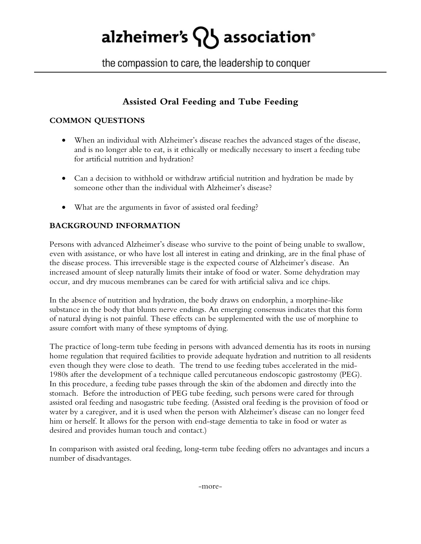# alzheimer's  $\{ \}$  association<sup>®</sup>

the compassion to care, the leadership to conquer

## **Assisted Oral Feeding and Tube Feeding**

### **COMMON QUESTIONS**

- When an individual with Alzheimer's disease reaches the advanced stages of the disease, and is no longer able to eat, is it ethically or medically necessary to insert a feeding tube for artificial nutrition and hydration?
- Can a decision to withhold or withdraw artificial nutrition and hydration be made by someone other than the individual with Alzheimer's disease?
- What are the arguments in favor of assisted oral feeding?

## **BACKGROUND INFORMATION**

Persons with advanced Alzheimer's disease who survive to the point of being unable to swallow, even with assistance, or who have lost all interest in eating and drinking, are in the final phase of the disease process. This irreversible stage is the expected course of Alzheimer's disease. An increased amount of sleep naturally limits their intake of food or water. Some dehydration may occur, and dry mucous membranes can be cared for with artificial saliva and ice chips.

In the absence of nutrition and hydration, the body draws on endorphin, a morphine-like substance in the body that blunts nerve endings. An emerging consensus indicates that this form of natural dying is not painful. These effects can be supplemented with the use of morphine to assure comfort with many of these symptoms of dying.

The practice of long-term tube feeding in persons with advanced dementia has its roots in nursing home regulation that required facilities to provide adequate hydration and nutrition to all residents even though they were close to death. The trend to use feeding tubes accelerated in the mid-1980s after the development of a technique called percutaneous endoscopic gastrostomy (PEG). In this procedure, a feeding tube passes through the skin of the abdomen and directly into the stomach. Before the introduction of PEG tube feeding, such persons were cared for through assisted oral feeding and nasogastric tube feeding. (Assisted oral feeding is the provision of food or water by a caregiver, and it is used when the person with Alzheimer's disease can no longer feed him or herself. It allows for the person with end-stage dementia to take in food or water as desired and provides human touch and contact.)

In comparison with assisted oral feeding, long-term tube feeding offers no advantages and incurs a number of disadvantages.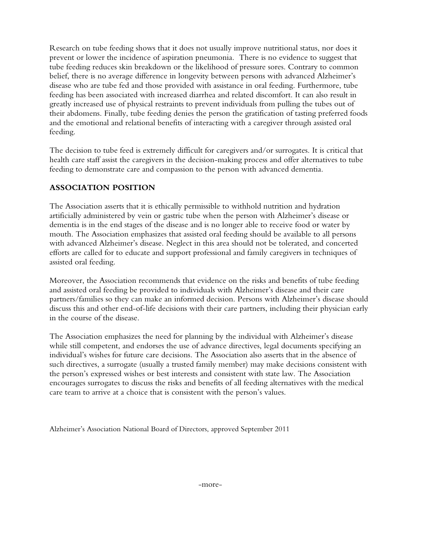Research on tube feeding shows that it does not usually improve nutritional status, nor does it prevent or lower the incidence of aspiration pneumonia. There is no evidence to suggest that tube feeding reduces skin breakdown or the likelihood of pressure sores. Contrary to common belief, there is no average difference in longevity between persons with advanced Alzheimer's disease who are tube fed and those provided with assistance in oral feeding. Furthermore, tube feeding has been associated with increased diarrhea and related discomfort. It can also result in greatly increased use of physical restraints to prevent individuals from pulling the tubes out of their abdomens. Finally, tube feeding denies the person the gratification of tasting preferred foods and the emotional and relational benefits of interacting with a caregiver through assisted oral feeding.

The decision to tube feed is extremely difficult for caregivers and/or surrogates. It is critical that health care staff assist the caregivers in the decision-making process and offer alternatives to tube feeding to demonstrate care and compassion to the person with advanced dementia.

#### **ASSOCIATION POSITION**

The Association asserts that it is ethically permissible to withhold nutrition and hydration artificially administered by vein or gastric tube when the person with Alzheimer's disease or dementia is in the end stages of the disease and is no longer able to receive food or water by mouth. The Association emphasizes that assisted oral feeding should be available to all persons with advanced Alzheimer's disease. Neglect in this area should not be tolerated, and concerted efforts are called for to educate and support professional and family caregivers in techniques of assisted oral feeding.

Moreover, the Association recommends that evidence on the risks and benefits of tube feeding and assisted oral feeding be provided to individuals with Alzheimer's disease and their care partners/families so they can make an informed decision. Persons with Alzheimer's disease should discuss this and other end-of-life decisions with their care partners, including their physician early in the course of the disease.

The Association emphasizes the need for planning by the individual with Alzheimer's disease while still competent, and endorses the use of advance directives, legal documents specifying an individual's wishes for future care decisions. The Association also asserts that in the absence of such directives, a surrogate (usually a trusted family member) may make decisions consistent with the person's expressed wishes or best interests and consistent with state law. The Association encourages surrogates to discuss the risks and benefits of all feeding alternatives with the medical care team to arrive at a choice that is consistent with the person's values.

Alzheimer's Association National Board of Directors, approved September 2011